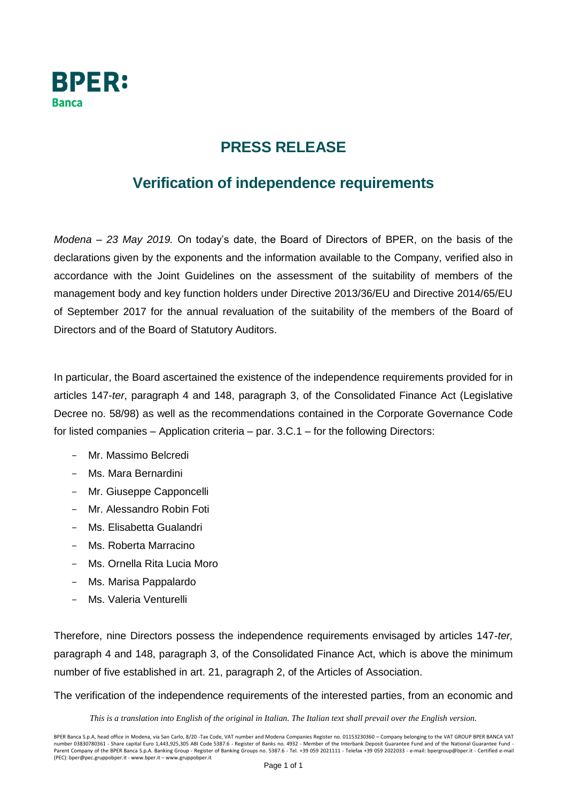

## **PRESS RELEASE**

## **Verification of independence requirements**

*Modena – 23 May 2019.* On today's date, the Board of Directors of BPER, on the basis of the declarations given by the exponents and the information available to the Company, verified also in accordance with the Joint Guidelines on the assessment of the suitability of members of the management body and key function holders under Directive 2013/36/EU and Directive 2014/65/EU of September 2017 for the annual revaluation of the suitability of the members of the Board of Directors and of the Board of Statutory Auditors.

In particular, the Board ascertained the existence of the independence requirements provided for in articles 147-*ter*, paragraph 4 and 148, paragraph 3, of the Consolidated Finance Act (Legislative Decree no. 58/98) as well as the recommendations contained in the Corporate Governance Code for listed companies – Application criteria – par. 3.C.1 – for the following Directors:

- Mr. Massimo Belcredi
- Ms. Mara Bernardini
- Mr. Giuseppe Capponcelli
- Mr. Alessandro Robin Foti
- Ms. Elisabetta Gualandri
- Ms. Roberta Marracino
- Ms. Ornella Rita Lucia Moro
- Ms. Marisa Pappalardo
- Ms. Valeria Venturelli

Therefore, nine Directors possess the independence requirements envisaged by articles 147-*ter,* paragraph 4 and 148, paragraph 3, of the Consolidated Finance Act, which is above the minimum number of five established in art. 21, paragraph 2, of the Articles of Association.

The verification of the independence requirements of the interested parties, from an economic and

*This is a translation into English of the original in Italian. The Italian text shall prevail over the English version.*